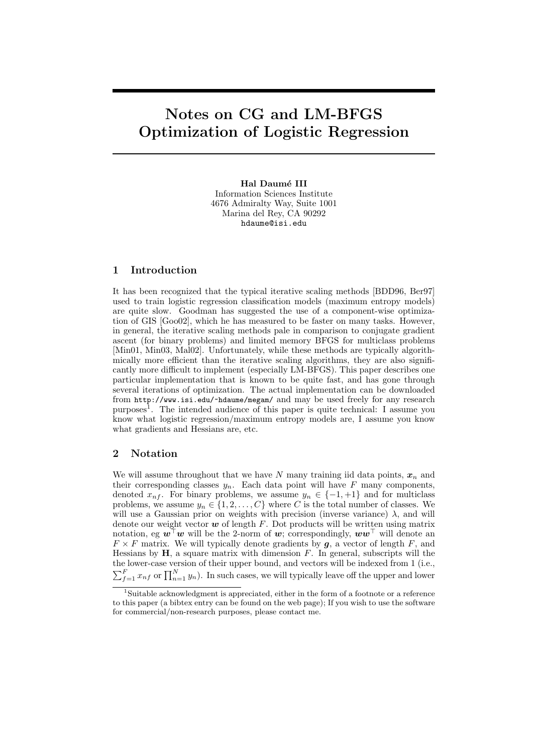# Notes on CG and LM-BFGS Optimization of Logistic Regression

Hal Daumé III Information Sciences Institute 4676 Admiralty Way, Suite 1001 Marina del Rey, CA 90292 hdaume@isi.edu

## 1 Introduction

It has been recognized that the typical iterative scaling methods [BDD96, Ber97] used to train logistic regression classification models (maximum entropy models) are quite slow. Goodman has suggested the use of a component-wise optimization of GIS [Goo02], which he has measured to be faster on many tasks. However, in general, the iterative scaling methods pale in comparison to conjugate gradient ascent (for binary problems) and limited memory BFGS for multiclass problems [Min01, Min03, Mal02]. Unfortunately, while these methods are typically algorithmically more efficient than the iterative scaling algorithms, they are also significantly more difficult to implement (especially LM-BFGS). This paper describes one particular implementation that is known to be quite fast, and has gone through several iterations of optimization. The actual implementation can be downloaded from http://www.isi.edu/~hdaume/megam/ and may be used freely for any research purposes<sup>1</sup>. The intended audience of this paper is quite technical: I assume you know what logistic regression/maximum entropy models are, I assume you know what gradients and Hessians are, etc.

## 2 Notation

We will assume throughout that we have N many training iid data points,  $x_n$  and their corresponding classes  $y_n$ . Each data point will have F many components, denoted  $x_{n}$ . For binary problems, we assume  $y_n \in \{-1, +1\}$  and for multiclass problems, we assume  $y_n \in \{1, 2, ..., C\}$  where C is the total number of classes. We will use a Gaussian prior on weights with precision (inverse variance)  $\lambda$ , and will denote our weight vector  $w$  of length F. Dot products will be written using matrix notation, eg  $w^{\dagger} w$  will be the 2-norm of w; correspondingly,  $ww^{\dagger}$  will denote an  $F \times F$  matrix. We will typically denote gradients by  $g$ , a vector of length F, and Hessians by  $H$ , a square matrix with dimension  $F$ . In general, subscripts will the the lower-case version of their upper bound, and vectors will be indexed from 1 (i.e.,  $\sum_{f=1}^{F} x_{nf}$  or  $\prod_{n=1}^{N} y_n$ ). In such cases, we will typically leave off the upper and lower

<sup>&</sup>lt;sup>1</sup>Suitable acknowledgment is appreciated, either in the form of a footnote or a reference to this paper (a bibtex entry can be found on the web page); If you wish to use the software for commercial/non-research purposes, please contact me.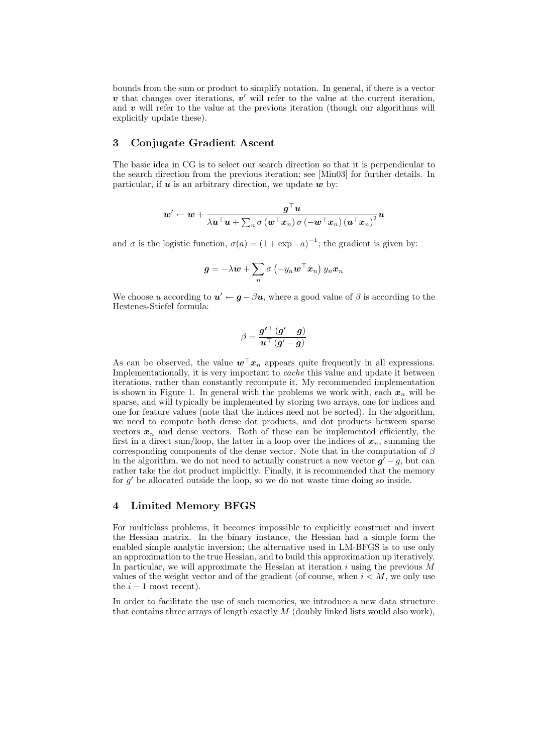bounds from the sum or product to simplify notation. In general, if there is a vector  $v$  that changes over iterations,  $v'$  will refer to the value at the current iteration, and  $\bf{v}$  will refer to the value at the previous iteration (though our algorithms will explicitly update these).

## 3 Conjugate Gradient Ascent

The basic idea in CG is to select our search direction so that it is perpendicular to the search direction from the previous iteration; see [Min03] for further details. In particular, if  $u$  is an arbitrary direction, we update  $w$  by:

$$
\boldsymbol{w}^{\prime} \leftarrow \boldsymbol{w} + \frac{\boldsymbol{g}^{\top}\boldsymbol{u}}{\lambda\boldsymbol{u}^{\top}\boldsymbol{u} + \sum_n \sigma\left(\boldsymbol{w}^{\top}\boldsymbol{x}_n\right)\sigma\left(-\boldsymbol{w}^{\top}\boldsymbol{x}_n\right)\left(\boldsymbol{u}^{\top}\boldsymbol{x}_n\right)^2}\boldsymbol{u}
$$

and  $\sigma$  is the logistic function,  $\sigma(a) = (1 + \exp{-a})^{-1}$ ; the gradient is given by:

$$
\boldsymbol{g} = -\lambda \boldsymbol{w} + \sum_n \sigma\left(-y_n \boldsymbol{w}^\top \boldsymbol{x}_n\right) y_n \boldsymbol{x}_n
$$

We choose u according to  $u' \leftarrow g - \beta u$ , where a good value of  $\beta$  is according to the Hestenes-Stiefel formula:

$$
\beta = \frac{\boldsymbol{g'}^\top \left(\boldsymbol{g'}-\boldsymbol{g}\right)}{\boldsymbol{u}^\top \left(\boldsymbol{g'}-\boldsymbol{g}\right)}
$$

As can be observed, the value  $\mathbf{w}^{\top} \mathbf{x}_n$  appears quite frequently in all expressions. Implementationally, it is very important to cache this value and update it between iterations, rather than constantly recompute it. My recommended implementation is shown in Figure 1. In general with the problems we work with, each  $x_n$  will be sparse, and will typically be implemented by storing two arrays, one for indices and one for feature values (note that the indices need not be sorted). In the algorithm, we need to compute both dense dot products, and dot products between sparse vectors  $x_n$  and dense vectors. Both of these can be implemented efficiently, the first in a direct sum/loop, the latter in a loop over the indices of  $x_n$ , summing the corresponding components of the dense vector. Note that in the computation of  $\beta$ in the algorithm, we do not need to actually construct a new vector  $g^7 - g$ , but can rather take the dot product implicitly. Finally, it is recommended that the memory for  $g'$  be allocated outside the loop, so we do not waste time doing so inside.

#### 4 Limited Memory BFGS

For multiclass problems, it becomes impossible to explicitly construct and invert the Hessian matrix. In the binary instance, the Hessian had a simple form the enabled simple analytic inversion; the alternative used in LM-BFGS is to use only an approximation to the true Hessian, and to build this approximation up iteratively. In particular, we will approximate the Hessian at iteration  $i$  using the previous  $M$ values of the weight vector and of the gradient (of course, when  $i < M$ , we only use the  $i - 1$  most recent).

In order to facilitate the use of such memories, we introduce a new data structure that contains three arrays of length exactly  $M$  (doubly linked lists would also work),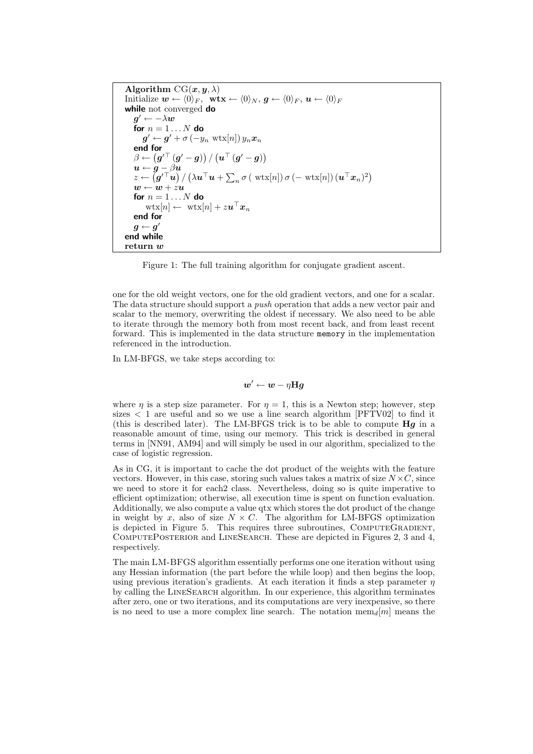Algorithm  $CG(x, y, \lambda)$ Initialize  $\mathbf{w} \leftarrow \langle 0 \rangle_F$ ,  $\mathbf{wtx} \leftarrow \langle 0 \rangle_N$ ,  $\mathbf{g} \leftarrow \langle 0 \rangle_F$ ,  $\mathbf{u} \leftarrow \langle 0 \rangle_F$ while not converged do  $\boldsymbol{g}' \leftarrow -\lambda \boldsymbol{w}$ for  $n = 1 \dots N$  do  $\boldsymbol{g}^{\prime} \leftarrow \boldsymbol{g}^{\prime} + \sigma \left( - y_n \, \left. \mathrm{wtx}[n] \right) y_n \boldsymbol{x}_n$ end for  $\beta \leftarrow \left( \boldsymbol{g}'^\top \left( \boldsymbol{g}' - \boldsymbol{g} \right) \right) / \left( \boldsymbol{u}^\top \left( \boldsymbol{g}' - \boldsymbol{g} \right) \right)$  $u \leftarrow g - \beta u$  $z \leftarrow \left( \boldsymbol{g'}^\top \boldsymbol{u} \right) / \left( \lambda \boldsymbol{u}^\top \boldsymbol{u} + \sum_n \sigma\left( \ \text{wtx}[n] \right) \sigma\left(- \ \text{wtx}[n] \right) (\boldsymbol{u}^\top \boldsymbol{x}_n)^2 \right)$  $\boldsymbol{w} \leftarrow \boldsymbol{w} + z \boldsymbol{u}$ for  $n = 1...N$  do  $\text{wtx}[n] \leftarrow \text{ wtx}[n] + z \boldsymbol{u}^\top \boldsymbol{x}_n$ end for  $\boldsymbol{g} \leftarrow \boldsymbol{g}'$ end while return w

Figure 1: The full training algorithm for conjugate gradient ascent.

one for the old weight vectors, one for the old gradient vectors, and one for a scalar. The data structure should support a *push* operation that adds a new vector pair and scalar to the memory, overwriting the oldest if necessary. We also need to be able to iterate through the memory both from most recent back, and from least recent forward. This is implemented in the data structure memory in the implementation referenced in the introduction.

In LM-BFGS, we take steps according to:

$$
\bm{w}' \leftarrow \bm{w} - \eta \mathbf{H}\bm{g}
$$

where  $\eta$  is a step size parameter. For  $\eta = 1$ , this is a Newton step; however, step sizes  $\lt 1$  are useful and so we use a line search algorithm [PFTV02] to find it (this is described later). The LM-BFGS trick is to be able to compute  $\mathbf{H}\mathbf{g}$  in a reasonable amount of time, using our memory. This trick is described in general terms in [NN91, AM94] and will simply be used in our algorithm, specialized to the case of logistic regression.

As in CG, it is important to cache the dot product of the weights with the feature vectors. However, in this case, storing such values takes a matrix of size  $N \times C$ , since we need to store it for each2 class. Nevertheless, doing so is quite imperative to efficient optimization; otherwise, all execution time is spent on function evaluation. Additionally, we also compute a value qtx which stores the dot product of the change in weight by x, also of size  $N \times C$ . The algorithm for LM-BFGS optimization is depicted in Figure 5. This requires three subroutines, ComputeGradient, ComputePosterior and LineSearch. These are depicted in Figures 2, 3 and 4, respectively.

The main LM-BFGS algorithm essentially performs one one iteration without using any Hessian information (the part before the while loop) and then begins the loop, using previous iteration's gradients. At each iteration it finds a step parameter  $\eta$ by calling the LineSearch algorithm. In our experience, this algorithm terminates after zero, one or two iterations, and its computations are very inexpensive, so there is no need to use a more complex line search. The notation  $\text{mem}_d[m]$  means the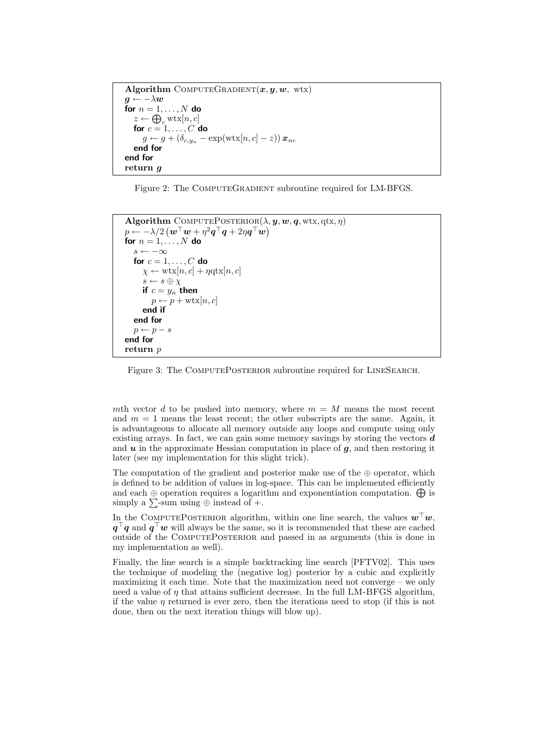```
Algorithm COMPUTEGRADIENT(x, y, w, wtx)\boldsymbol{g} \leftarrow -\lambda \boldsymbol{w}for n = 1, \ldots, N do
   z \leftarrow \bigoplus_c \text{wtx}[n, c]for c = 1, \ldots, C do
      g \leftarrow g + (\delta_{c,y_n} - \exp(\text{wtx}[n,c] - z)) x_{nc}end for
end for
return g
```
Figure 2: The COMPUTEGRADIENT subroutine required for LM-BFGS.

```
Algorithm COMPUTEPOSTERIOR(\lambda, y, w, q, wtx, qtx, \eta)p \leftarrow -\lambda/2 \left(\boldsymbol{w}^\top \boldsymbol{w} + \eta^2 \boldsymbol{q}^\top \boldsymbol{q} + 2 \eta \boldsymbol{q}^\top \boldsymbol{w}\right)for n = 1, \ldots, N do
    s \leftarrow -\inftyfor c = 1, \ldots, C do
        \chi \leftarrow \text{wtx}[n, c] + \eta \text{qtx}[n, c]s \leftarrow s \oplus \chiif c = y_n then
           p \leftarrow p + \text{wtx}[n, c]end if
    end for
    p \leftarrow p - send for
return p
```
Figure 3: The COMPUTEPOSTERIOR subroutine required for LINESEARCH.

mth vector d to be pushed into memory, where  $m = M$  means the most recent and  $m = 1$  means the least recent; the other subscripts are the same. Again, it is advantageous to allocate all memory outside any loops and compute using only existing arrays. In fact, we can gain some memory savings by storing the vectors  $\boldsymbol{d}$ and  $u$  in the approximate Hessian computation in place of  $g$ , and then restoring it later (see my implementation for this slight trick).

The computation of the gradient and posterior make use of the  $\oplus$  operator, which is defined to be addition of values in log-space. This can be implemented efficiently and each  $\oplus$  operation requires a logarithm and exponentiation computation.  $\oplus$  is simply a  $\sum$ -sum using  $\oplus$  instead of +.

In the COMPUTEPOSTERIOR algorithm, within one line search, the values  $\mathbf{w}^\top \mathbf{w}$ ,  $q^{\top}q$  and  $q^{\top}w$  will always be the same, so it is recommended that these are cached outside of the ComputePosterior and passed in as arguments (this is done in my implementation as well).

Finally, the line search is a simple backtracking line search [PFTV02]. This uses the technique of modeling the (negative log) posterior by a cubic and explicitly maximizing it each time. Note that the maximization need not converge – we only need a value of  $\eta$  that attains sufficient decrease. In the full LM-BFGS algorithm, if the value  $\eta$  returned is ever zero, then the iterations need to stop (if this is not done, then on the next iteration things will blow up).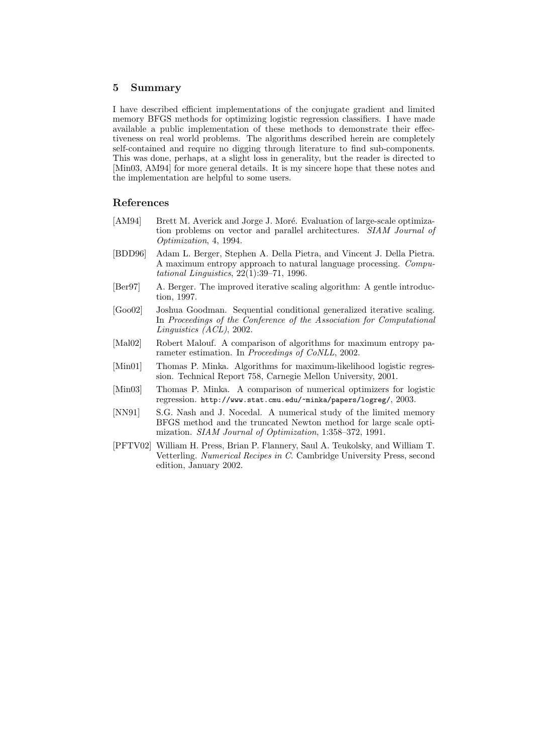### 5 Summary

I have described efficient implementations of the conjugate gradient and limited memory BFGS methods for optimizing logistic regression classifiers. I have made available a public implementation of these methods to demonstrate their effectiveness on real world problems. The algorithms described herein are completely self-contained and require no digging through literature to find sub-components. This was done, perhaps, at a slight loss in generality, but the reader is directed to [Min03, AM94] for more general details. It is my sincere hope that these notes and the implementation are helpful to some users.

## References

- [AM94] Brett M. Averick and Jorge J. Moré. Evaluation of large-scale optimization problems on vector and parallel architectures. SIAM Journal of Optimization, 4, 1994.
- [BDD96] Adam L. Berger, Stephen A. Della Pietra, and Vincent J. Della Pietra. A maximum entropy approach to natural language processing. Computational Linguistics, 22(1):39–71, 1996.
- [Ber97] A. Berger. The improved iterative scaling algorithm: A gentle introduction, 1997.
- [Goo02] Joshua Goodman. Sequential conditional generalized iterative scaling. In Proceedings of the Conference of the Association for Computational Linguistics (ACL), 2002.
- [Mal02] Robert Malouf. A comparison of algorithms for maximum entropy parameter estimation. In Proceedings of CoNLL, 2002.
- [Min01] Thomas P. Minka. Algorithms for maximum-likelihood logistic regression. Technical Report 758, Carnegie Mellon University, 2001.
- [Min03] Thomas P. Minka. A comparison of numerical optimizers for logistic regression. http://www.stat.cmu.edu/~minka/papers/logreg/, 2003.
- [NN91] S.G. Nash and J. Nocedal. A numerical study of the limited memory BFGS method and the truncated Newton method for large scale optimization. SIAM Journal of Optimization, 1:358–372, 1991.
- [PFTV02] William H. Press, Brian P. Flannery, Saul A. Teukolsky, and William T. Vetterling. Numerical Recipes in C. Cambridge University Press, second edition, January 2002.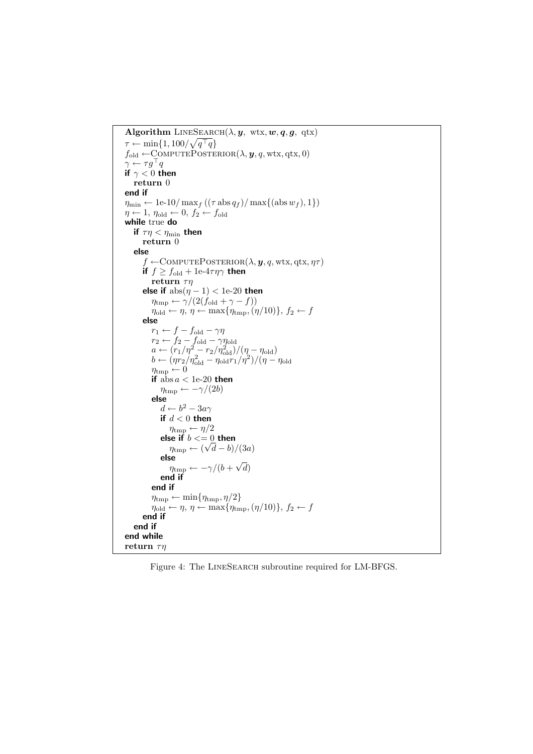```
Algorithm LINESEARCH(\lambda, y, wtx, w, q, g, qtx)
\tau \leftarrow \min\{1, 100/\sqrt{q^\top q}\}f_{old} \leftarrow \text{COMPUTEPOSTERIOR}(\lambda, y, q, wtx, qtx, 0)\gamma \leftarrow \tau g^{\top} qif \gamma < 0 then
    return 0
end if
\eta_{\min} \leftarrow 1e-10/ max<sub>f</sub> ((\tau \operatorname{abs} q_f) / \max\{(\operatorname{abs} w_f), 1\})\eta \leftarrow 1, \eta_{\text{old}} \leftarrow 0, f_2 \leftarrow f_{\text{old}}while true do
    if \tau\eta < \eta_{\min} then
        return 0
    else
         f \leftarrow \text{COMPUTEPOSTERIOR}(\lambda, \boldsymbol{y}, q, \text{wtx}, qt\mathbf{x}, \eta \tau)if f \ge f_{old} + 1e^{-4\tau \eta \gamma} then
            return \taun
         else if \mathrm{abs}(\eta-1) < 1e-20 then
             \eta_{\text{tmp}} \leftarrow \gamma/(2(f_{\text{old}} + \gamma - f))\eta_{old} \leftarrow \eta, \, \eta \leftarrow \max\{\eta_{\text{tmp}},(\eta/10)\},\, f_2 \leftarrow felse
             r_1 \leftarrow f - f_{old} - \gamma \etar_2 \leftarrow f_2 - f_{old} - \gamma \eta_{old}a \leftarrow (r_1/\eta^2 - r_2/\eta_{\rm old}^2)/(\eta - \eta_{\rm old})b \leftarrow (\eta r_2/\eta_{\rm old}^2 - \eta_{\rm old} r_1/\eta^2)/(\eta - \eta_{\rm old}\eta_{\text{tmp}} \leftarrow 0if absa < 1e-20 then
                 \eta_{\text{tmp}} \leftarrow -\gamma/(2b)else
                  d \leftarrow b^2 - 3a\gammaif d < 0 then
                     \eta_{\text{tmp}} \leftarrow \eta/2else if b<=0 then
                      \eta_{\text{tmp}} \leftarrow (\sqrt{d-b})/(3a)else
                      \eta_{\text{tmp}} \leftarrow -\gamma/(b +√
                                                         (d)end if
             end if
             \eta_{\text{tmp}} \leftarrow \min\{\eta_{\text{tmp}}, \eta/2\}\eta_{old} \leftarrow \eta, \, \eta \leftarrow \max{\eta_{tmp}, (\eta/10)}, \, f_2 \leftarrow fend if
    end if
end while
return \tau\eta
```
Figure 4: The LineSearch subroutine required for LM-BFGS.